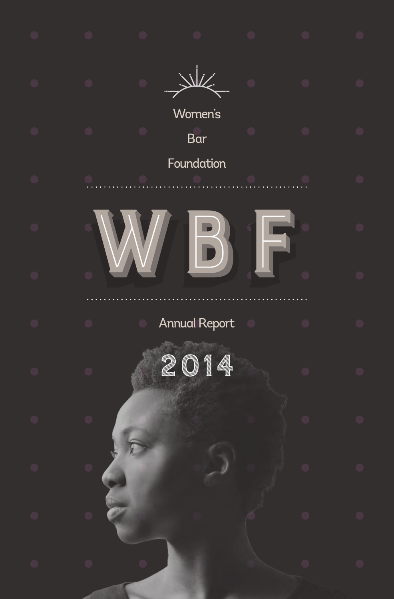|  | Women's<br>Bar       |  |  |
|--|----------------------|--|--|
|  | Foundation           |  |  |
|  | $\mathbf{B}$         |  |  |
|  |                      |  |  |
|  | <b>Annual Report</b> |  |  |
|  | 2014                 |  |  |
|  |                      |  |  |
|  |                      |  |  |
|  |                      |  |  |
|  |                      |  |  |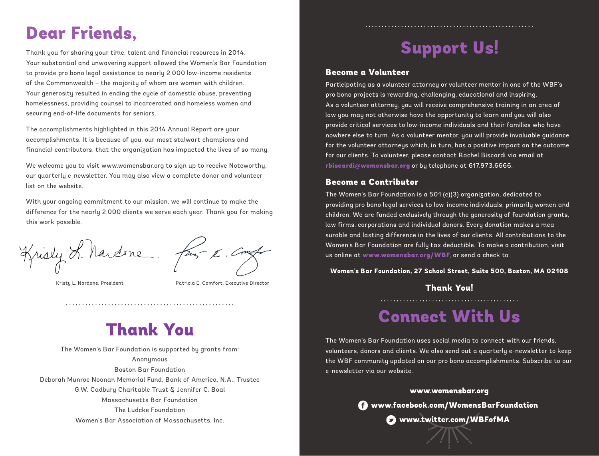## Dear Friends,

Thank you for sharing your time, talent and financial resources in 2014. Your substantial and unwavering support allowed the Women's Bar Foundation to provide pro bono legal assistance to nearly 2,000 low-income residents of the Commonwealth – the majority of whom are women with children. Your generosity resulted in ending the cycle of domestic abuse, preventing homelessness, providing counsel to incarcerated and homeless women and securing end-of-life documents for seniors.

The accomplishments highlighted in this 2014 Annual Report are your accomplishments. It is because of you, our most stalwart champions and financial contributors, that the organization has impacted the lives of so many.

We welcome you to visit www.womensbar.org to sign up to receive Noteworthy, our quarterly e-newsletter. You may also view a complete donor and volunteer list on the website.

With your ongoing commitment to our mission, we will continue to make the difference for the nearly 2,000 clients we serve each year. Thank you for making this work possible.

Krisly L. Nardone.

from K. Com

Kristy L. Nardone, President Patricia E. Comfort, Executive Director

## Thank You

The Women's Bar Foundation is supported by grants from: Anonymous Boston Bar Foundation Deborah Munroe Noonan Memorial Fund, Bank of America, N.A., Trustee G.W. Cadbury Charitable Trust & Jennifer C. Boal Massachusetts Bar Foundation The Ludcke Foundation Women's Bar Association of Massachusetts, Inc.

## Support Us!

#### Become a Volunteer

Participating as a volunteer attorney or volunteer mentor in one of the WBF's pro bono projects is rewarding, challenging, educational and inspiring. As a volunteer attorney, you will receive comprehensive training in an area of law you may not otherwise have the opportunity to learn and you will also provide critical services to low-income individuals and their families who have nowhere else to turn. As a volunteer mentor, you will provide invaluable guidance for the volunteer attorneys which, in turn, has a positive impact on the outcome for our clients. To volunteer, please contact Rachel Biscardi via email at rbiscardi@womensbar.org or by telephone at 617.973.6666.

#### Become a Contributor

The Women's Bar Foundation is a 501 (c)(3) organization, dedicated to providing pro bono legal services to low-income individuals, primarily women and children. We are funded exclusively through the generosity of foundation grants, law firms, corporations and individual donors. Every donation makes a measurable and lasting difference in the lives of our clients. All contributions to the Women's Bar Foundation are fully tax deductible. To make a contribution, visit us online at www.womensbar.org/WBF, or send a check to:

#### **Women's Bar Foundation, 27 School Street, Suite 500, Boston, MA 02108**

Thank You! 

### Connect With Us

The Women's Bar Foundation uses social media to connect with our friends, volunteers, donors and clients. We also send out a quarterly e-newsletter to keep the WBF community updated on our pro bono accomplishments. Subscribe to our e-newsletter via our website.

#### www.womensbar.org

www.facebook.com/WomensBarFoundation

www.twitter.com/WBFofMA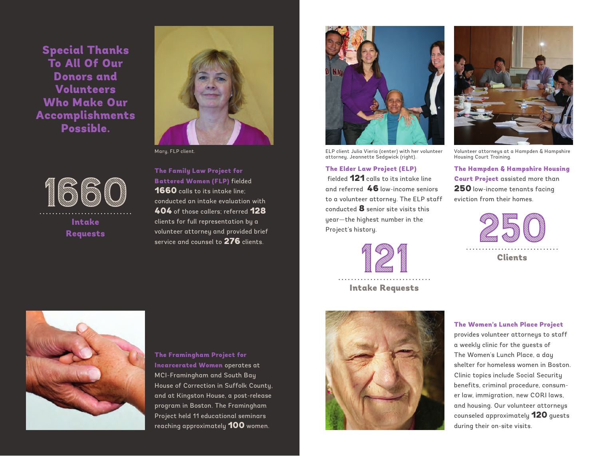Special Thanks To All Of Our Donors and Volunteers Who Make Our Accomplishments Possible.

1660

Intake



The Family Law Project for Battered Women (FLP) fielded 1660 calls to its intake line; conducted an intake evaluation with 404 of those callers; referred 128 clients for full representation by a volunteer attorney and provided brief service and counsel to 276 clients. Experience of those callers; referred 128<br> **Intake** clients for full representation by a<br> **Requests** service and counsel to 276 clients.



attorney, Jeannette Sedgwick (right).

The Elder Law Project (ELP) fielded 121 calls to its intake line and referred 46 low-income seniors to a volunteer attorney. The ELP staff conducted  $8$  senior site visits this year—the highest number in the Project's history.



Intake Requests





ELP client Julia Vieria (center) with her volunteer Mary, FLP client. Volunteer attorneys at a Hampden & Hampshire Housing Court Training.

> The Hampden & Hampshire Housing Court Project assisted more than 250 low-income tenants facing eviction from their homes.





Clinic topics include Social Security benefits, criminal procedure, consumer law, immigration, new CORI laws, and housing. Our volunteer attorneys counseled approximately 120 guests during their on-site visits.



The Framingham Project for Incarcerated Women operates at MCI-Framingham and South Bay House of Correction in Suffolk County, and at Kingston House, a post-release program in Boston. The Framingham Project held 11 educational seminars reaching approximately 100 women.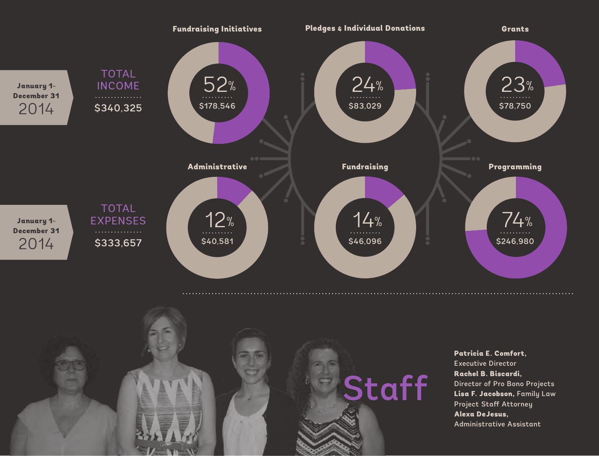